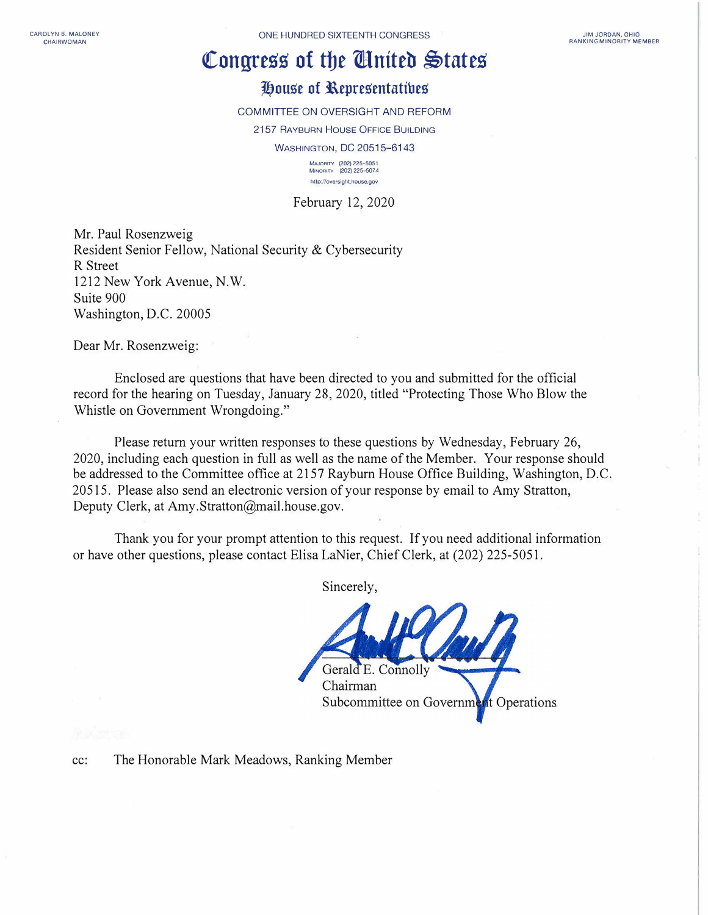## Congress of the **Chatter States**

## **House of Representatives**

COMMITTEE ON OVERSIGHT AND REFORM

2157 RAYBURN HOUSE OFFICE BUILDING WASHINGTON, DC 20515-6143

> **MA,oRITV** (202) 225-5051 **MINORITY (202) 225-507 4 http://ove,sighl.house.gov**

February 12, 2020

Mr. Paul Rosenzweig Resident Senior Fellow, National Security & Cybersecurity R Street 1212 New York Avenue, N.W. Suite 900 Washington, D.C. 20005

Dear Mr. Rosenzweig:

Enclosed are questions that have been directed to you and submitted for the official record for the hearing on Tuesday, January 28, 2020, titled "Protecting Those Who Blow the Whistle on Government Wrongdoing."

Please return your written responses to these questions by Wednesday, February 26, 2020, including each question in full as well as the name of the Member. Your response should be addressed to the Committee office at 2157 Rayburn House Office Building, Washington, D.C. 20515. Please also send an electronic version of your response by email to Amy Stratton, Deputy Clerk, at Amy.Stratton@mail.house.gov.

Thank you for your prompt attention to this request. If you need additional information or have other questions, please contact Elisa LaNier, Chief Clerk, at (202) 225-5051.

Sincerely,



cc: The Honorable Mark Meadows, Ranking Member